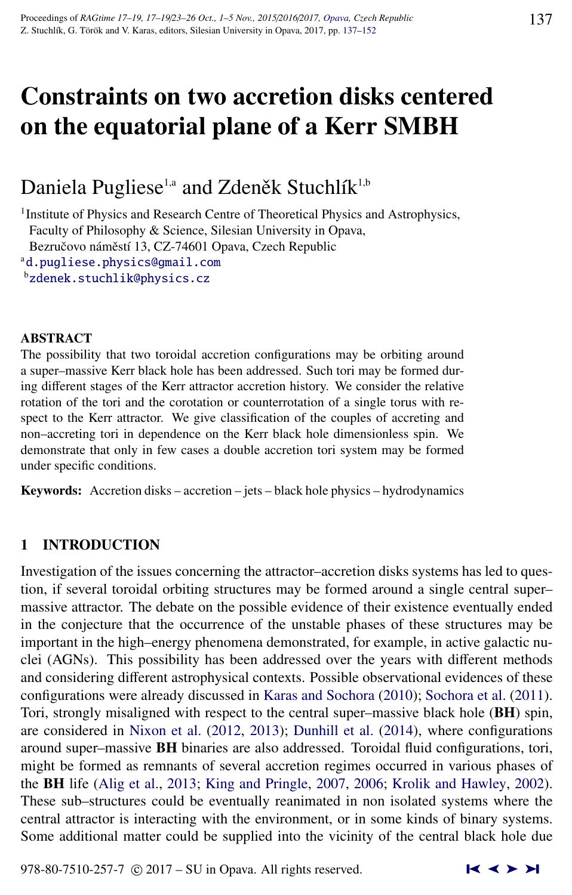# Constraints on two accretion disks centered on the equatorial plane of a Kerr SMBH

# Daniela Pugliese<sup>1,a</sup> and Zdeněk Stuchlík<sup>1,b</sup>

<sup>1</sup> Institute of Physics and Research Centre of Theoretical Physics and Astrophysics, Faculty of Philosophy & Science, Silesian University in Opava, Bezručovo náměstí 13, CZ-74601 Opava, Czech Republic <sup>a</sup>[d.pugliese.physics@gmail.com](http://www.physics.cz/ d.pugliese.physics@gmail.com)

<sup>b</sup>[zdenek.stuchlik@physics.cz](http://www.physics.cz/ zdenek.stuchlik@physics.cz)

#### ABSTRACT

The possibility that two toroidal accretion configurations may be orbiting around a super–massive Kerr black hole has been addressed. Such tori may be formed during different stages of the Kerr attractor accretion history. We consider the relative rotation of the tori and the corotation or counterrotation of a single torus with respect to the Kerr attractor. We give classification of the couples of accreting and non–accreting tori in dependence on the Kerr black hole dimensionless spin. We demonstrate that only in few cases a double accretion tori system may be formed under specific conditions.

Keywords: Accretion disks – accretion – jets – black hole physics – hydrodynamics

# 1 INTRODUCTION

Investigation of the issues concerning the attractor–accretion disks systems has led to question, if several toroidal orbiting structures may be formed around a single central super– massive attractor. The debate on the possible evidence of their existence eventually ended in the conjecture that the occurrence of the unstable phases of these structures may be important in the high–energy phenomena demonstrated, for example, in active galactic nuclei (AGNs). This possibility has been addressed over the years with different methods and considering different astrophysical contexts. Possible observational evidences of these configurations were already discussed in [Karas and Sochora](#page-14-0) [\(2010\)](#page-14-0); [Sochora et al.](#page-15-0) [\(2011\)](#page-15-0). Tori, strongly misaligned with respect to the central super–massive black hole (BH) spin, are considered in [Nixon et al.](#page-15-0) [\(2012,](#page-15-0) [2013\)](#page-15-0); [Dunhill et al.](#page-14-0) [\(2014\)](#page-14-0), where configurations around super–massive BH binaries are also addressed. Toroidal fluid configurations, tori, might be formed as remnants of several accretion regimes occurred in various phases of the BH life [\(Alig et al.,](#page-14-0) [2013;](#page-14-0) [King and Pringle,](#page-14-0) [2007,](#page-14-0) [2006;](#page-14-0) [Krolik and Hawley,](#page-14-0) [2002\)](#page-14-0). These sub–structures could be eventually reanimated in non isolated systems where the central attractor is interacting with the environment, or in some kinds of binary systems. Some additional matter could be supplied into the vicinity of the central black hole due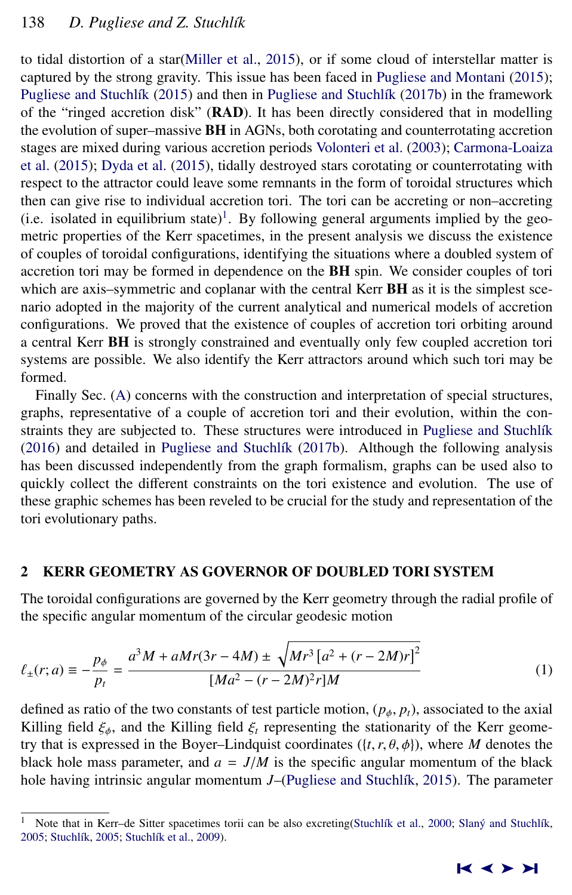<span id="page-1-0"></span>to tidal distortion of a star[\(Miller et al.,](#page-14-0) [2015\)](#page-14-0), or if some cloud of interstellar matter is captured by the strong gravity. This issue has been faced in [Pugliese and Montani](#page-15-0) [\(2015\)](#page-15-0); Pugliese and Stuchlík [\(2015\)](#page-15-0) and then in Pugliese and Stuchlík [\(2017b\)](#page-15-0) in the framework of the "ringed accretion disk" (RAD). It has been directly considered that in modelling the evolution of super–massive **BH** in AGNs, both corotating and counterrotating accretion stages are mixed during various accretion periods [Volonteri et al.](#page-15-0) [\(2003\)](#page-15-0); [Carmona-Loaiza](#page-14-0) [et al.](#page-14-0) [\(2015\)](#page-14-0); [Dyda et al.](#page-14-0) [\(2015\)](#page-14-0), tidally destroyed stars corotating or counterrotating with respect to the attractor could leave some remnants in the form of toroidal structures which then can give rise to individual accretion tori. The tori can be accreting or non–accreting (i.e. isolated in equilibrium state)<sup>1</sup>. By following general arguments implied by the geometric properties of the Kerr spacetimes, in the present analysis we discuss the existence of couples of toroidal configurations, identifying the situations where a doubled system of accretion tori may be formed in dependence on the BH spin. We consider couples of tori which are axis–symmetric and coplanar with the central Kerr **BH** as it is the simplest scenario adopted in the majority of the current analytical and numerical models of accretion configurations. We proved that the existence of couples of accretion tori orbiting around a central Kerr BH is strongly constrained and eventually only few coupled accretion tori systems are possible. We also identify the Kerr attractors around which such tori may be formed.

Finally Sec. [\(A\)](#page-10-0) concerns with the construction and interpretation of special structures, graphs, representative of a couple of accretion tori and their evolution, within the constraints they are subjected to. These structures were introduced in Pugliese and Stuchlík [\(2016\)](#page-15-0) and detailed in Pugliese and Stuchlík [\(2017b\)](#page-15-0). Although the following analysis has been discussed independently from the graph formalism, graphs can be used also to quickly collect the different constraints on the tori existence and evolution. The use of these graphic schemes has been reveled to be crucial for the study and representation of the tori evolutionary paths.

### 2 KERR GEOMETRY AS GOVERNOR OF DOUBLED TORI SYSTEM

The toroidal configurations are governed by the Kerr geometry through the radial profile of the specific angular momentum of the circular geodesic motion

$$
\ell_{\pm}(r;a) \equiv -\frac{p_{\phi}}{p_t} = \frac{a^3 M + aMr(3r - 4M) \pm \sqrt{Mr^3 \left[a^2 + (r - 2M)r\right]^2}}{[Ma^2 - (r - 2M)^2 r]M}
$$
(1)

defined as ratio of the two constants of test particle motion,  $(p_{\phi}, p_t)$ , associated to the axial Killing field  $\xi_{\phi}$ , and the Killing field  $\xi_t$  representing the stationarity of the Kerr geometry that is expressed in the Boyer–Lindquist coordinates  $({t, r, \theta, \phi})$ , where *M* denotes the black hole mass parameter, and  $a = J/M$  is the specific angular momentum of the black hole having intrinsic angular momentum *J*–(Pugliese and Stuchlík, [2015\)](#page-15-0). The parameter

Note that in Kerr–de Sitter spacetimes torii can be also excreting(Stuchlík et al., [2000;](#page-15-0) Slaný and Stuchlík, [2005;](#page-15-0) Stuchlík, 2005; Stuchlík et al., [2009\)](#page-15-0).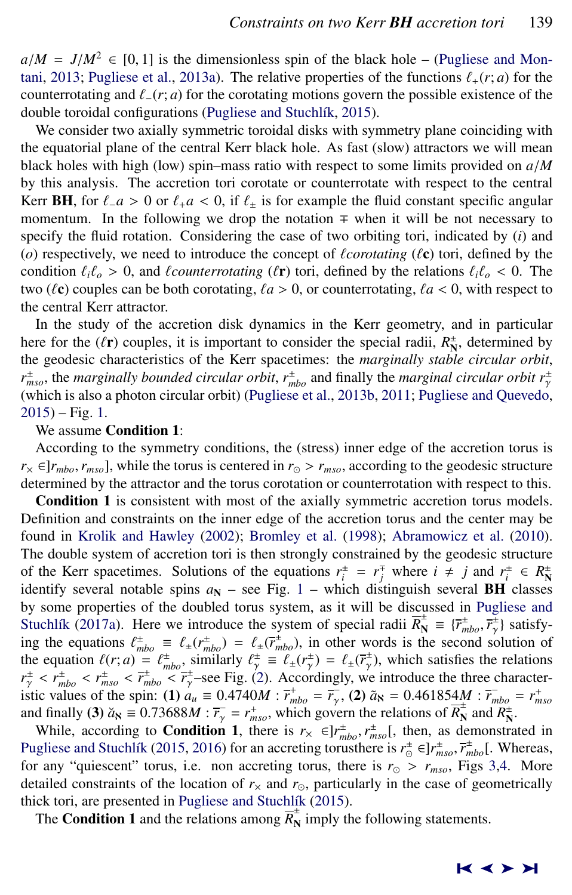$a/M = J/M^2 \in [0, 1]$  is the dimensionless spin of the black hole – [\(Pugliese and Mon](#page-15-0)[tani,](#page-15-0) [2013;](#page-15-0) [Pugliese et al.,](#page-15-0) [2013a\)](#page-15-0). The relative properties of the functions  $\ell_+(r; a)$  for the counterrotating and  $\ell_-(r; a)$  for the corotating motions govern the possible existence of the double toroidal configurations (Pugliese and Stuchlík, [2015\)](#page-15-0).

We consider two axially symmetric toroidal disks with symmetry plane coinciding with the equatorial plane of the central Kerr black hole. As fast (slow) attractors we will mean black holes with high (low) spin–mass ratio with respect to some limits provided on *<sup>a</sup>*/*<sup>M</sup>* by this analysis. The accretion tori corotate or counterrotate with respect to the central Kerr BH, for  $\ell_1 a > 0$  or  $\ell_1 a < 0$ , if  $\ell_1$  is for example the fluid constant specific angular momentum. In the following we drop the notation  $\mp$  when it will be not necessary to specify the fluid rotation. Considering the case of two orbiting tori, indicated by (*i*) and ( $o$ ) respectively, we need to introduce the concept of *l*corotating ( $\ell$ **c**) tori, defined by the condition  $\ell_i \ell_o > 0$ , and *{counterrotating ({r}*) tori, defined by the relations  $\ell_i \ell_o < 0$ . The two ( $\ell$ **c**) couples can be both corotating,  $\ell a > 0$ , or counterrotating,  $\ell a < 0$ , with respect to the central Kerr attractor.

In the study of the accretion disk dynamics in the Kerr geometry, and in particular here for the  $(\ell r)$  couples, it is important to consider the special radii,  $R_{\rm N}^{\pm}$ , determined by the geodesic characteristics of the Kerr spectimes: the *marginally stable circular orbit* the geodesic characteristics of the Kerr spacetimes: the *marginally stable circular orbit*,  $r_{mso}^{\pm}$ , the *marginally bounded circular orbit*,  $r_{mbo}^{\pm}$  and finally the *marginal circular orbit*  $r_{\gamma}^{\pm}$ (which is also a photon circular orbit) [\(Pugliese et al.,](#page-15-0) [2013b,](#page-15-0) [2011;](#page-15-0) [Pugliese and Quevedo,](#page-15-0) [2015\)](#page-15-0) – Fig. [1.](#page-3-0)

# We assume Condition 1:

According to the symmetry conditions, the (stress) inner edge of the accretion torus is  $r_{\times} \in ]r_{mbo}, r_{mso}]$ , while the torus is centered in  $r_{\odot} > r_{mso}$ , according to the geodesic structure determined by the attractor and the torus corotation or counterrotation with respect to this.

Condition 1 is consistent with most of the axially symmetric accretion torus models. Definition and constraints on the inner edge of the accretion torus and the center may be found in [Krolik and Hawley](#page-14-0) [\(2002\)](#page-14-0); [Bromley et al.](#page-14-0) [\(1998\)](#page-14-0); [Abramowicz et al.](#page-14-0) [\(2010\)](#page-14-0). The double system of accretion tori is then strongly constrained by the geodesic structure of the Kerr spacetimes. Solutions of the equations  $r_i^{\pm} = r_j^{\mp}$  where  $i \neq j$  and  $r_i^{\pm} \in R_N^{\pm}$ identify several notable spins  $a_N$  – see Fig. [1](#page-3-0) – which distinguish several **BH** classes by some properties of the doubled torus system, as it will be discussed in [Pugliese and](#page-15-0) Stuchlík [\(2017a\)](#page-15-0). Here we introduce the system of special radii  $\overline{R}_{\rm N}^{\pm} \equiv {\overline{r}}_{\rm mbo}^{\pm}$ ,  $\overline{r}_{\gamma}^{\pm}$ ) satisfy-<br>ing the equations  $f^{\pm} = f(r^{\pm}) - f(r^{\pm})$  in other words is the second solution of ing the equations  $\ell_{\text{mbo}}^{\pm} \equiv \ell_{\pm}(r_{\text{mbo}}^{\pm}) = \ell_{\pm}(\bar{r}_{\text{mbo}}^{\pm})$ , in other words is the second solution of<br>the equation  $\ell(\mathbf{r}; a) = \ell^{\pm}$  similarly  $\ell^{\pm} = \ell(\mathbf{r}^{\pm}) - \ell(\bar{r}^{\pm})$  which satisfies the relati the equation  $\ell(r; a) = \ell^{\pm}_{mbo}$ , similarly  $\ell^{\pm}_{\tau} = \ell^{\pm}(r^{\pm}_{\tau}) = \ell^{\pm}(\overline{r}^{\pm}_{\tau})$ , which satisfies the relations  $r^{\pm} \leq r^{\pm} \leq \overline{r}^{\pm} \leq \overline{r}^{\pm} \leq \overline{r}^{\pm} \leq \overline{r}^{\pm} \leq \overline{r}^{\pm} \leq \overline{r}^{\pm} \leq \overline{r$  $r_{\gamma}^{\pm} < r_{mbo}^{\pm} < r_{mbo}^{\pm} < \bar{r}_{\gamma}^{\pm}$ -see Fig. [\(2\)](#page-4-0). Accordingly, we introduce the three character-<br>is the values of the spin: (1)  $a_{\gamma} = 0.4740M \cdot \vec{r}_{\gamma}^{\pm} - \vec{r}_{\gamma}$  (2)  $\tilde{a}_{\lambda} = 0.461854M \cdot \vec{r}_{\gamma} = r^{\pm}$ istic values of the spin: (1)  $a_u \equiv 0.4740M$  :  $\vec{r}_{mbo}^+ = \vec{r}_r$ , (2)  $\tilde{a}_S = 0.461854M$  :  $\vec{r}_{mbo}^+ = r_{mso}^+$ <br>and finally (3)  $\tilde{a}_S = 0.73688M$  :  $\vec{r}_r^- = r^+$  which govern the relations of  $\vec{R}_{mso}^+$  and  $R_{mso}$ and finally (3)  $\ddot{a}_{\text{N}} \equiv 0.73688M$  :  $\ddot{r}_{\gamma} = r_{mso}^+$ , which govern the relations of  $\overline{R}_{\text{N}}^+$  and  $R_{\text{N}}^+$ .<br>While according to **Condition 1** there is  $r_{\gamma} \in \mathbb{R}^+$   $r^{\pm}$  [ then as demonstrated

While, according to **Condition 1**, there is  $r_{\infty} \in ]r_{mbo}^{+}, r_{mso}^{+}[,$  then, as demonstrated in gliese and Stuchlík (2015–2016) for an accreting torusthere is  $r^{\pm} \in ]r^{\pm} - \overline{r}^{\pm}].$  Whereas Pugliese and Stuchlik [\(2015,](#page-15-0) [2016\)](#page-15-0) for an accreting torusthere is  $r_{\odot}^{\pm} \in ]r_{mso}^{\pm}, \overline{r}_{mbo}^{\pm}[\cdot]$ . Whereas, for any "quiescent" torus i.e., non accreting torus there is  $r_{\odot} > r$ . Eigs 3.4. More for any "quiescent" torus, i.e. non accreting torus, there is  $r_{\odot} > r_{mso}$ , Figs [3,](#page-6-0)[4.](#page-7-0) More detailed constraints of the location of  $r<sub>\times</sub>$  and  $r<sub>\odot</sub>$ , particularly in the case of geometrically thick tori, are presented in Pugliese and Stuchlík [\(2015\)](#page-15-0).

The **Condition 1** and the relations among  $\overline{R}_{\text{N}}^{\pm}$  imply the following statements.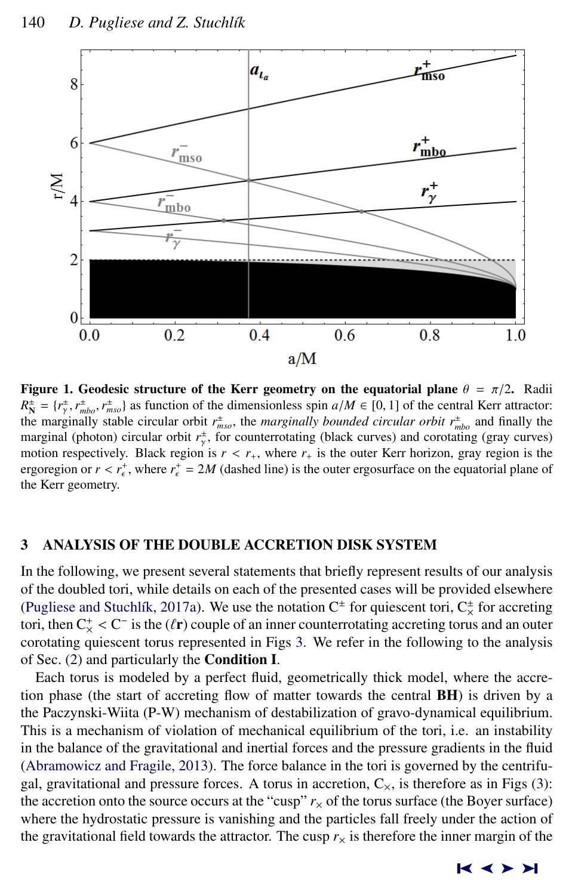<span id="page-3-0"></span>

Figure 1. Geodesic structure of the Kerr geometry on the equatorial plane  $\theta = \pi/2$ . Radii  $R_{\rm N}^{\pm} = \{r_{\rm T}^{\pm}, r_{\rm mbo}^{\pm}, r_{\rm mso}^{\pm}\}$  as function of the dimensionless spin *a*/*M* ∈ [0, 1] of the central Kerr attractor:<br>the marginally stable circular orbit  $r^{\pm}$ , the marginally bounded circular orbit  $r$ the marginally stable circular orbit  $r_{mso}^{\pm}$ , the *marginally bounded circular orbit*  $r_{mbo}^{\pm}$  and finally the marginal (photon) circular orbit  $r_{\gamma}^{\pm}$ , for counterrotating (black curves) and corotating (gray curves) motion respectively. Black region is  $r < r_+$ , where  $r_+$  is the outer Kerr horizon, gray region is the errors of  $r < r_+^+$  where  $r_+^+ = 2M$  (dashed line) is the outer ergosurface on the equatorial plane of ergoregion or  $r < r_{\epsilon}^+$ , where  $r_{\epsilon}^+ = 2M$  (dashed line) is the outer ergosurface on the equatorial plane of the Kerr geometry the Kerr geometry.

# 3 ANALYSIS OF THE DOUBLE ACCRETION DISK SYSTEM

In the following, we present several statements that briefly represent results of our analysis of the doubled tori, while details on each of the presented cases will be provided elsewhere (Pugliese and Stuchlík, [2017a\)](#page-15-0). We use the notation  $C^{\pm}$  for quiescent tori,  $C^{\pm}_{\times}$  for accreting tori, then  $C_{\chi}^{+} < C^{-}$  is the  $(\ell r)$  couple of an inner counterrotating accreting torus and an outer<br>corotating quiescent torus represented in Figs. 3. We refer in the following to the analysis corotating quiescent torus represented in Figs [3.](#page-6-0) We refer in the following to the analysis of Sec. [\(2\)](#page-1-0) and particularly the Condition I.

Each torus is modeled by a perfect fluid, geometrically thick model, where the accretion phase (the start of accreting flow of matter towards the central BH) is driven by a the Paczynski-Wiita (P-W) mechanism of destabilization of gravo-dynamical equilibrium. This is a mechanism of violation of mechanical equilibrium of the tori, i.e. an instability in the balance of the gravitational and inertial forces and the pressure gradients in the fluid [\(Abramowicz and Fragile,](#page-14-0) [2013\)](#page-14-0). The force balance in the tori is governed by the centrifugal, gravitational and pressure forces. A torus in accretion,  $C_{\times}$ , is therefore as in Figs [\(3\)](#page-6-0): the accretion onto the source occurs at the "cusp"  $r<sub>x</sub>$  of the torus surface (the Boyer surface) where the hydrostatic pressure is vanishing and the particles fall freely under the action of the gravitational field towards the attractor. The cusp  $r<sub>x</sub>$  is therefore the inner margin of the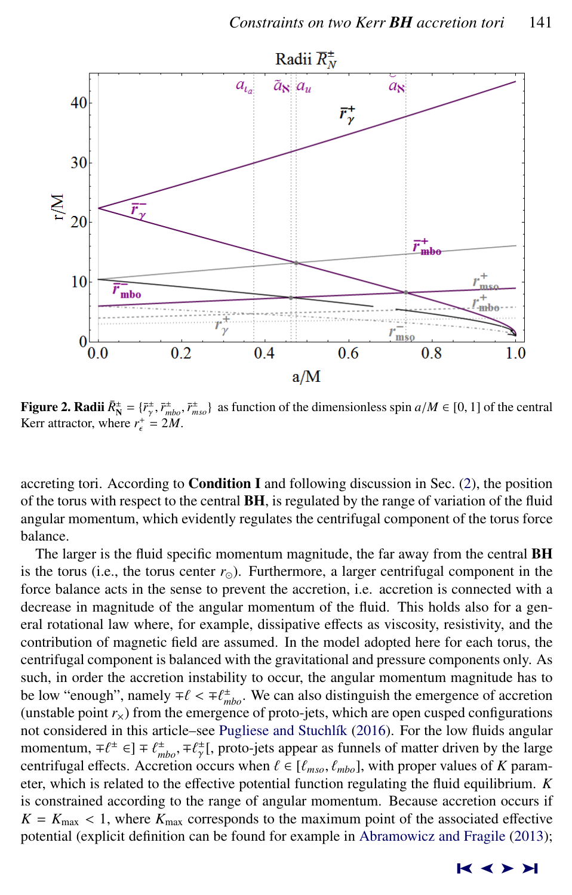<span id="page-4-0"></span>

**Figure 2. Radii**  $\bar{R}_{\perp}^{\pm} = {\bar{r}_\tau^{\pm}, \bar{r}_{mbo}^{\pm}, \bar{r}_{mso}^{\pm}}$  as function of the dimensionless spin  $a/M \in [0, 1]$  of the central Kerr attractor where  $r^{\pm} - 2M$ Kerr attractor, where  $r_{\epsilon}^{+} = 2M$ .

accreting tori. According to **Condition I** and following discussion in Sec. [\(2\)](#page-1-0), the position of the torus with respect to the central BH, is regulated by the range of variation of the fluid angular momentum, which evidently regulates the centrifugal component of the torus force balance.

The larger is the fluid specific momentum magnitude, the far away from the central BH is the torus (i.e., the torus center  $r_{\odot}$ ). Furthermore, a larger centrifugal component in the force balance acts in the sense to prevent the accretion, i.e. accretion is connected with a decrease in magnitude of the angular momentum of the fluid. This holds also for a general rotational law where, for example, dissipative effects as viscosity, resistivity, and the contribution of magnetic field are assumed. In the model adopted here for each torus, the centrifugal component is balanced with the gravitational and pressure components only. As such, in order the accretion instability to occur, the angular momentum magnitude has to be low "enough", namely  $\mp \ell < \mp \ell_{mbo}^{\pm}$ . We can also distinguish the emergence of accretion (unstable point r) from the emergence of proto-jets, which are onen cusped configurations (unstable point  $r<sub>x</sub>$ ) from the emergence of proto-jets, which are open cusped configurations not considered in this article–see Pugliese and Stuchlík [\(2016\)](#page-15-0). For the low fluids angular momentum,  $\mp \ell^{\pm} \in ] \mp \ell^{\pm}_{\text{mbo}}$ ,  $\mp \ell^{\pm}_{\gamma} [$ , proto-jets appear as funnels of matter driven by the large<br>centrifugal effects. Accretion occurs when  $\ell \in [\ell - \ell]$ , l with proper values of K paramcentrifugal effects. Accretion occurs when  $\ell \in [\ell_{mso}, \ell_{mbo}]$ , with proper values of *K* parameter which is related to the effective potential function regulating the fluid equilibrium. K eter, which is related to the effective potential function regulating the fluid equilibrium. *K* is constrained according to the range of angular momentum. Because accretion occurs if  $K = K_{\text{max}} < 1$ , where  $K_{\text{max}}$  corresponds to the maximum point of the associated effective potential (explicit definition can be found for example in [Abramowicz and Fragile](#page-14-0) [\(2013\)](#page-14-0);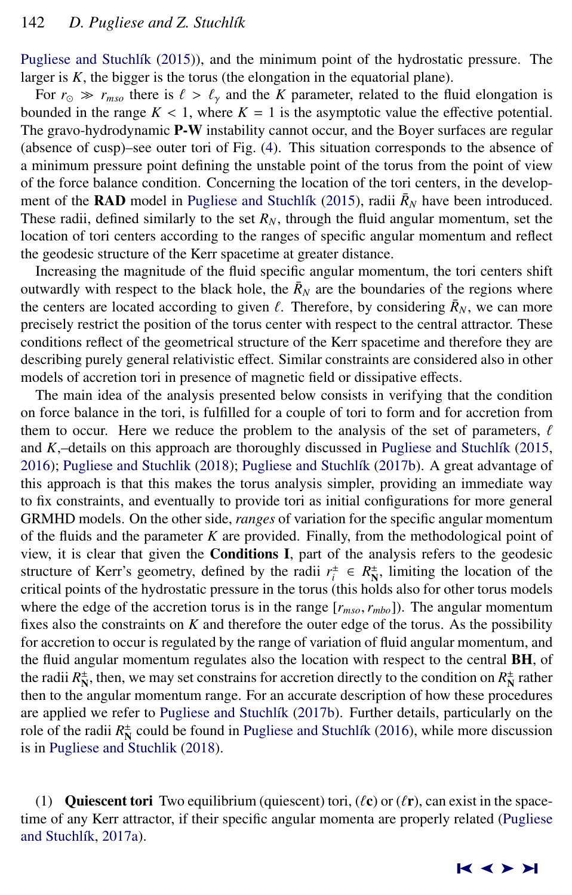Pugliese and Stuchlík [\(2015\)](#page-15-0)), and the minimum point of the hydrostatic pressure. The larger is *K*, the bigger is the torus (the elongation in the equatorial plane).

For  $r_{\odot} \gg r_{mso}$  there is  $\ell > \ell_{\gamma}$  and the *K* parameter, related to the fluid elongation is bounded in the range  $K < 1$ , where  $K = 1$  is the asymptotic value the effective potential. The gravo-hydrodynamic **P-W** instability cannot occur, and the Boyer surfaces are regular (absence of cusp)–see outer tori of Fig. [\(4\)](#page-7-0). This situation corresponds to the absence of a minimum pressure point defining the unstable point of the torus from the point of view of the force balance condition. Concerning the location of the tori centers, in the development of the **RAD** model in Pugliese and Stuchlík [\(2015\)](#page-15-0), radii  $\bar{R}_N$  have been introduced. These radii, defined similarly to the set  $R_N$ , through the fluid angular momentum, set the location of tori centers according to the ranges of specific angular momentum and reflect the geodesic structure of the Kerr spacetime at greater distance.

Increasing the magnitude of the fluid specific angular momentum, the tori centers shift outwardly with respect to the black hole, the  $\bar{R}_N$  are the boundaries of the regions where the centers are located according to given  $\ell$ . Therefore, by considering  $\bar{R}_N$ , we can more precisely restrict the position of the torus center with respect to the central attractor. These precisely restrict the position of the torus center with respect to the central attractor. These conditions reflect of the geometrical structure of the Kerr spacetime and therefore they are describing purely general relativistic effect. Similar constraints are considered also in other models of accretion tori in presence of magnetic field or dissipative effects.

The main idea of the analysis presented below consists in verifying that the condition on force balance in the tori, is fulfilled for a couple of tori to form and for accretion from them to occur. Here we reduce the problem to the analysis of the set of parameters,  $\ell$ and  $K$ ,–details on this approach are thoroughly discussed in Pugliese and Stuchl $\hat{\kappa}$  [\(2015,](#page-15-0) [2016\)](#page-15-0); [Pugliese and Stuchlik](#page-15-0) [\(2018\)](#page-15-0); Pugliese and Stuchlík [\(2017b\)](#page-15-0). A great advantage of this approach is that this makes the torus analysis simpler, providing an immediate way to fix constraints, and eventually to provide tori as initial configurations for more general GRMHD models. On the other side, *ranges* of variation for the specific angular momentum of the fluids and the parameter *K* are provided. Finally, from the methodological point of view, it is clear that given the Conditions I, part of the analysis refers to the geodesic structure of Kerr's geometry, defined by the radii  $r_i^{\pm} \in R_N^{\pm}$ , limiting the location of the critical points of the hydrostatic pressure in the torus (this holds also for other torus models where the edge of the accretion torus is in the range  $[r_{mso}, r_{mbo}]$ ). The angular momentum fixes also the constraints on *K* and therefore the outer edge of the torus. As the possibility for accretion to occur is regulated by the range of variation of fluid angular momentum, and the fluid angular momentum regulates also the location with respect to the central BH, of the radii  $R_N^{\pm}$ , then, we may set constrains for accretion directly to the condition on  $R_N^{\pm}$  rather then to the angular momentum range. For an accurate description of how these procedures are applied we refer to Pugliese and Stuchlík [\(2017b\)](#page-15-0). Further details, particularly on the role of the radii  $R_N^{\pm}$  could be found in Pugliese and Stuchlík [\(2016\)](#page-15-0), while more discussion is in [Pugliese and Stuchlik](#page-15-0) [\(2018\)](#page-15-0).

(1) Quiescent tori Two equilibrium (quiescent) tori,  $(\ell \mathbf{c})$  or  $(\ell \mathbf{r})$ , can exist in the spacetime of any Kerr attractor, if their specific angular momenta are properly related [\(Pugliese](#page-15-0) and Stuchlík, [2017a\)](#page-15-0).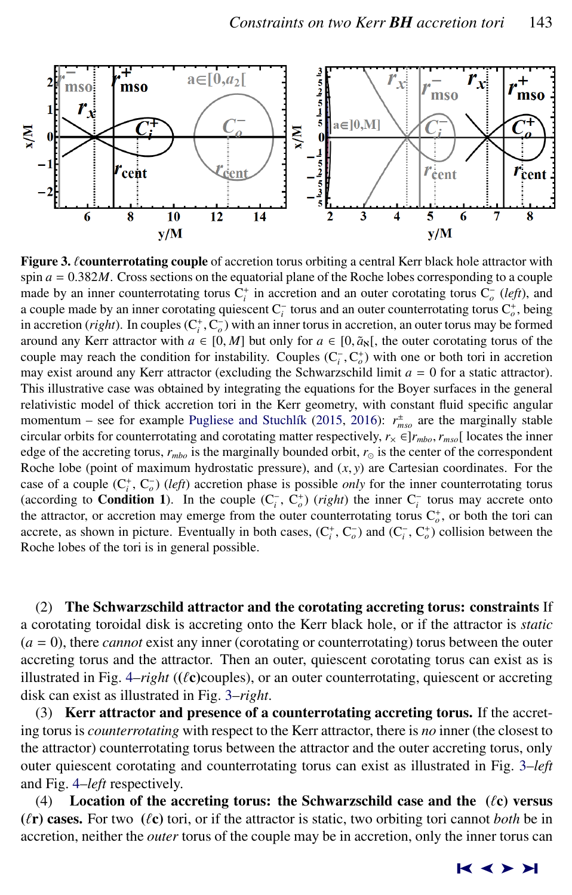<span id="page-6-0"></span>

**Figure 3. Counterrotating couple** of accretion torus orbiting a central Kerr black hole attractor with spin  $a = 0.382M$ . Cross sections on the equatorial plane of the Roche lobes corresponding to a couple made by an inner counterrotating torus  $C_i^+$  in accretion and an outer corotating torus  $C_o^-$  (*left*), and a couple made by an inner corotating quiescent C<sub>i</sub> torus and an outer counterrotating torus C<sub>i</sub><sup>*o*</sup>, being in accretion (*right*). In couples  $(C_i^*, C_o^-)$  with an inner torus in accretion, an outer torus may be formed<br>around any Kerr attractor with  $a \in [0, M]$  but only for  $a \in [0, \tilde{a}]$ , the outer corotating torus of the around any Kerr attractor with  $a \in [0, M]$  but only for  $a \in [0, \tilde{a}_{\mathcal{S}}]$ , the outer corotating torus of the couple may reach the condition for instability. Couples  $(C_i^-, C_o^+)$  with one or both tori in accretion<br>may exist around any Kerr attractor (excluding the Schwarzschild limit  $a = 0$  for a static attractor) may exist around any Kerr attractor (excluding the Schwarzschild limit  $a = 0$  for a static attractor). This illustrative case was obtained by integrating the equations for the Boyer surfaces in the general relativistic model of thick accretion tori in the Kerr geometry, with constant fluid specific angular momentum – see for example Pugliese and Stuchlík [\(2015,](#page-15-0) [2016\)](#page-15-0):  $r_{mso}^{\pm}$  are the marginally stable circular orbits for counterrotating and corotating matter respectively,  $r_{\times} \in ]r_{mbo}, r_{mso}[$  locates the inner edge of the accreting torus,  $r_{mbo}$  is the marginally bounded orbit,  $r_{\odot}$  is the center of the correspondent Roche lobe (point of maximum hydrostatic pressure), and  $(x, y)$  are Cartesian coordinates. For the case of a couple  $(C_i^+, C_o^-)$  (*left*) accretion phase is possible *only* for the inner counterrotating torus (according to **Condition 1**). In the couple  $(C_i^-, C_o^+)$  (*right*) the inner  $C_i^-$  torus may accrete onto the attractor, or accretion may emerge from the outer counterrotating torus  $C_o^+$ , or both the tori can accrete, as shown in picture. Eventually in both cases,  $(C_i^+, C_o^-)$  and  $(C_i^-, C_o^+)$  collision between the Roche lobes of the tori is in general possible.

(2) The Schwarzschild attractor and the corotating accreting torus: constraints If a corotating toroidal disk is accreting onto the Kerr black hole, or if the attractor is *static* (*a* = 0), there *cannot* exist any inner (corotating or counterrotating) torus between the outer accreting torus and the attractor. Then an outer, quiescent corotating torus can exist as is illustrated in Fig.  $4$ –*right* ( $(\ell$ **c**)couples), or an outer counterrotating, quiescent or accreting disk can exist as illustrated in Fig. 3–*right*.

(3) Kerr attractor and presence of a counterrotating accreting torus. If the accreting torus is *counterrotating* with respect to the Kerr attractor, there is *no* inner (the closest to the attractor) counterrotating torus between the attractor and the outer accreting torus, only outer quiescent corotating and counterrotating torus can exist as illustrated in Fig. 3–*left* and Fig. [4–](#page-7-0)*left* respectively.

(4) Location of the accreting torus: the Schwarzschild case and the  $({\ell c})$  versus  $(\ell r)$  cases. For two  $(\ell c)$  tori, or if the attractor is static, two orbiting tori cannot *both* be in accretion, neither the *outer* torus of the couple may be in accretion, only the inner torus can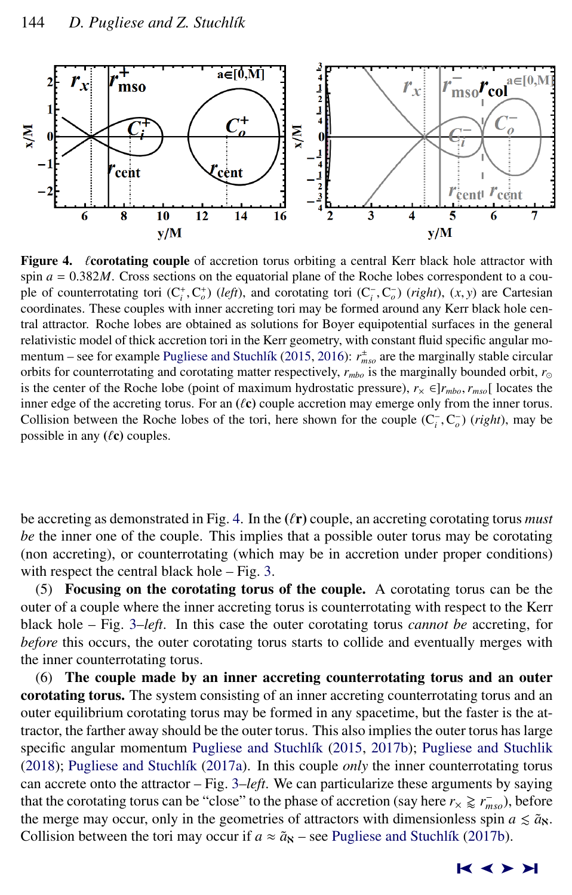<span id="page-7-0"></span>

Figure 4.  $\ell$  corotating couple of accretion torus orbiting a central Kerr black hole attractor with spin  $a = 0.382M$ . Cross sections on the equatorial plane of the Roche lobes correspondent to a couple of counterrotating tori  $(C_i^+, C_o^+)$  (*left*), and corotating tori  $(C_i^-, C_o^-)$  (*right*),  $(x, y)$  are Cartesian<br>coordinates. These countes with inner accreting tori may be formed around any Kerr black hole cencoordinates. These couples with inner accreting tori may be formed around any Kerr black hole central attractor. Roche lobes are obtained as solutions for Boyer equipotential surfaces in the general relativistic model of thick accretion tori in the Kerr geometry, with constant fluid specific angular mo-mentum – see for example Pugliese and Stuchlík [\(2015,](#page-15-0) [2016\)](#page-15-0):  $r_{mso}^{\pm}$  are the marginally stable circular orbits for counterrotating and corotating matter respectively,  $r_{mbo}$  is the marginally bounded orbit,  $r_{\odot}$ is the center of the Roche lobe (point of maximum hydrostatic pressure),  $r_x \in ]r_{mbo}, r_{mso}[$  locates the inner edge of the accreting torus. For an  $(\ell c)$  couple accretion may emerge only from the inner torus. Collision between the Roche lobes of the tori, here shown for the couple  $(C_i^-, C_o^-)$  (*right*), may be possible in any  $(0<sup>c</sup>)$  couples possible in any  $(\ell c)$  couples.

be accreting as demonstrated in Fig. 4. In the  $(\ell r)$  couple, an accreting corotating torus *must be* the inner one of the couple. This implies that a possible outer torus may be corotating (non accreting), or counterrotating (which may be in accretion under proper conditions) with respect the central black hole – Fig. [3.](#page-6-0)

(5) Focusing on the corotating torus of the couple. A corotating torus can be the outer of a couple where the inner accreting torus is counterrotating with respect to the Kerr black hole – Fig. [3–](#page-6-0)*left*. In this case the outer corotating torus *cannot be* accreting, for *before* this occurs, the outer corotating torus starts to collide and eventually merges with the inner counterrotating torus.

(6) The couple made by an inner accreting counterrotating torus and an outer corotating torus. The system consisting of an inner accreting counterrotating torus and an outer equilibrium corotating torus may be formed in any spacetime, but the faster is the attractor, the farther away should be the outer torus. This also implies the outer torus has large specific angular momentum Pugliese and Stuchlík [\(2015,](#page-15-0) [2017b\)](#page-15-0); [Pugliese and Stuchlik](#page-15-0) [\(2018\)](#page-15-0); Pugliese and Stuchlík [\(2017a\)](#page-15-0). In this couple *only* the inner counterrotating torus can accrete onto the attractor – Fig. [3–](#page-6-0)*left*. We can particularize these arguments by saying that the corotating torus can be "close" to the phase of accretion (say here  $r_\times \geq r_{mso}^-$ ), before the merge may occur, only in the geometries of attractors with dimensionless spin  $a \leq \tilde{a}_N$ . Collision between the tori may occur if  $a \approx \tilde{a}_s$  – see Pugliese and Stuchlík [\(2017b\)](#page-15-0).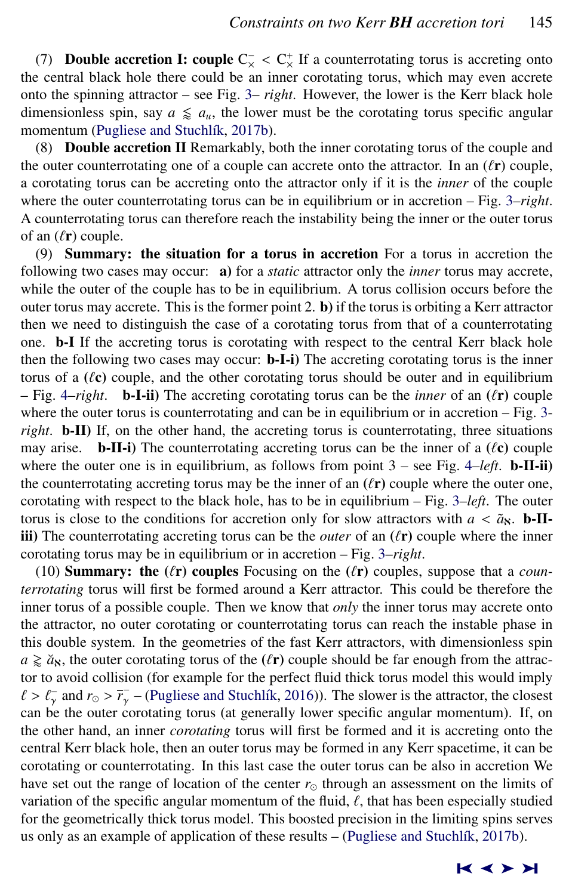(7) **Double accretion I: couple C** $\chi$  < C $\chi$ <sup>+</sup> If a counterrotating torus is accreting onto the central black hole there could be an inner corotating torus, which may even accrete onto the spinning attractor – see Fig. [3–](#page-6-0) *right*. However, the lower is the Kerr black hole dimensionless spin, say  $a \leq a_u$ , the lower must be the corotating torus specific angular momentum (Pugliese and Stuchlík, [2017b\)](#page-15-0).

(8) Double accretion II Remarkably, both the inner corotating torus of the couple and the outer counterrotating one of a couple can accrete onto the attractor. In an  $(\ell r)$  couple, a corotating torus can be accreting onto the attractor only if it is the *inner* of the couple where the outer counterrotating torus can be in equilibrium or in accretion – Fig. [3–](#page-6-0)*right*. A counterrotating torus can therefore reach the instability being the inner or the outer torus of an  $(\ell r)$  couple.

(9) Summary: the situation for a torus in accretion For a torus in accretion the following two cases may occur: a) for a *static* attractor only the *inner* torus may accrete, while the outer of the couple has to be in equilibrium. A torus collision occurs before the outer torus may accrete. This is the former point  $2$ . b) if the torus is orbiting a Kerr attractor then we need to distinguish the case of a corotating torus from that of a counterrotating one. b-I If the accreting torus is corotating with respect to the central Kerr black hole then the following two cases may occur: b-I-i) The accreting corotating torus is the inner torus of a  $(\ell c)$  couple, and the other corotating torus should be outer and in equilibrium  $-$  Fig. [4–](#page-7-0)*right*. **b**-**I**-ii) The accreting corotating torus can be the *inner* of an  $(\ell r)$  couple where the outer torus is counterrotating and can be in equilibrium or in accretion – Fig. [3](#page-6-0) *right*. b-II) If, on the other hand, the accreting torus is counterrotating, three situations may arise. **b-II-i**) The counterrotating accreting torus can be the inner of a  $(\ell_{\mathbf{C}})$  couple where the outer one is in equilibrium, as follows from point  $3$  – see Fig. [4–](#page-7-0)*left*. **b**-II-ii) the counterrotating accreting torus may be the inner of an  $(\ell r)$  couple where the outer one, corotating with respect to the black hole, has to be in equilibrium – Fig. [3–](#page-6-0)*left*. The outer torus is close to the conditions for accretion only for slow attractors with  $a < \tilde{a}_8$ . **b-II**iii) The counterrotating accreting torus can be the *outer* of an  $(\ell r)$  couple where the inner corotating torus may be in equilibrium or in accretion – Fig. [3–](#page-6-0)*right*.

(10) **Summary: the**  $(\ell r)$  **couples** Focusing on the  $(\ell r)$  couples, suppose that a *counterrotating* torus will first be formed around a Kerr attractor. This could be therefore the inner torus of a possible couple. Then we know that *only* the inner torus may accrete onto the attractor, no outer corotating or counterrotating torus can reach the instable phase in this double system. In the geometries of the fast Kerr attractors, with dimensionless spin  $a \ge \tilde{a}_{\mathbf{S}}$ , the outer corotating torus of the ( $\ell$ r) couple should be far enough from the attractor to avoid collision (for example for the perfect fluid thick torus model this would imply  $\ell > \ell_{\gamma}$  and  $r_{\odot} > \overline{r_{\gamma}}$  – (Pugliese and Stuchlik, [2016\)](#page-15-0)). The slower is the attractor, the closest can be the outer corotating torus (at generally lower specific angular momentum). If on can be the outer corotating torus (at generally lower specific angular momentum). If, on the other hand, an inner *corotating* torus will first be formed and it is accreting onto the central Kerr black hole, then an outer torus may be formed in any Kerr spacetime, it can be corotating or counterrotating. In this last case the outer torus can be also in accretion We have set out the range of location of the center  $r_{\odot}$  through an assessment on the limits of variation of the specific angular momentum of the fluid,  $\ell$ , that has been especially studied for the geometrically thick torus model. This boosted precision in the limiting spins serves us only as an example of application of these results – (Pugliese and Stuchlík, [2017b\)](#page-15-0).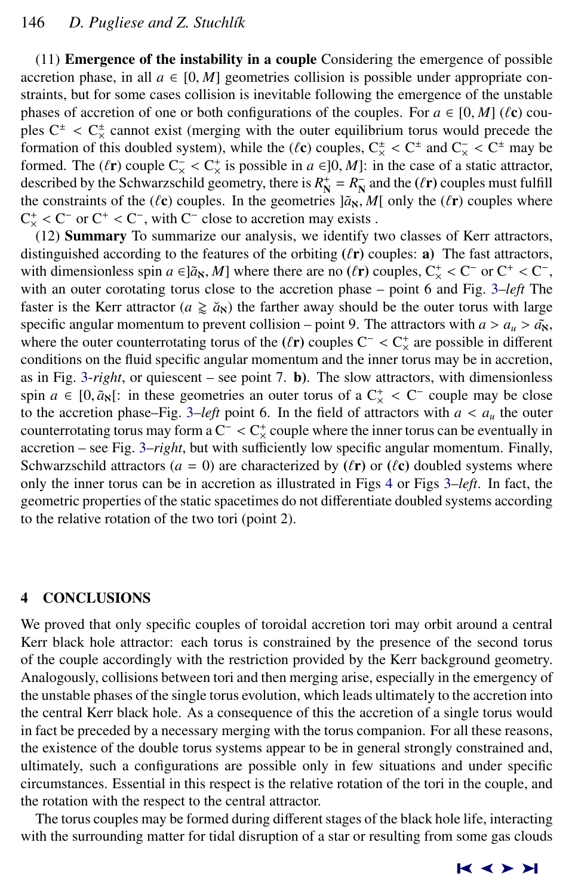(11) Emergence of the instability in a couple Considering the emergence of possible accretion phase, in all  $a \in [0, M]$  geometries collision is possible under appropriate constraints, but for some cases collision is inevitable following the emergence of the unstable phases of accretion of one or both configurations of the couples. For  $a \in [0, M]$  ( $\ell$ c) couples  $C^{\pm} < C_{\times}^{\pm}$  cannot exist (merging with the outer equilibrium torus would precede the formation of this doubled system), while the  $(\ell e)$  couples  $C^{\pm} < C^{\pm}$  and  $C^- < C^{\pm}$  may be formation of this doubled system), while the  $(\ell \mathbf{c})$  couples,  $C_{\mathbf{c}}^{\pm} < C^{\pm}$  and  $C_{\mathbf{c}} < C^{\pm}$  may be formed. The  $(\ell \mathbf{r})$  couple  $C_{\mathbf{c}} < C^{\pm}$  is possible in  $a \in ]0, M]$ ; in the case of a static attractor formed. The ( $\ell$ r) couple  $C_{\lambda}^- < C_{\lambda}^+$  is possible in  $a \in ]0, M]$ : in the case of a static attractor, described by the Schwarzschild geometry there is  $R^+ - R^-$  and the ( $\ell$ r) couples must fulfill described by the Schwarzschild geometry, there is  $R_N^+ = R_N^-$  and the ( $\ell$ r) couples must fulfill<br>the constraints of the ( $\ell$ c) couples. In the geometries  $[\tilde{\alpha}_N, M]$  only the ( $\ell$ r) couples where the constraints of the ( $\ell$ c) couples. In the geometries  $]\tilde{a}_N$ , *M*[ only the ( $\ell$ r) couples where  $C_{\times}^{+}$  <  $C^{-}$  or  $C^{+}$  <  $C^{-}$ , with  $C^{-}$  close to accretion may exists .<br>
(12) Summary To summarize our analysis, we identify to

(12) Summary To summarize our analysis, we identify two classes of Kerr attractors, distinguished according to the features of the orbiting  $(\ell r)$  couples: a) The fast attractors, with dimensionless spin  $a \in ]\tilde{a}_8$ , *M*] where there are no ( $\ell$ **r**) couples,  $C_{\times}^+ < C^-$  or  $C^+ < C^-$ , with an outer corotating torus close to the accretion phase – point 6 and Fig. 3–*left* The with an outer corotating torus close to the accretion phase – point 6 and Fig. [3–](#page-6-0)*left* The faster is the Kerr attractor ( $a \geq a_N$ ) the farther away should be the outer torus with large specific angular momentum to prevent collision – point 9. The attractors with  $a > a_u > a^x$ , where the outer counterrotating torus of the  $(\ell r)$  couples C<sup>-</sup> < C<sup>+</sup> are possible in different conditions on the fluid specific angular momentum and the inner torus may be in accretion. conditions on the fluid specific angular momentum and the inner torus may be in accretion, as in Fig. [3-](#page-6-0)*right*, or quiescent – see point 7. b). The slow attractors, with dimensionless spin  $a \in [0, \tilde{a}_N]$ : in these geometries an outer torus of a  $C^+_{\times} < C^-$  couple may be close<br>to the accretion phase–Eig 3–*left* point 6. In the field of attractors with  $a < a$ , the outer to the accretion phase–Fig. [3–](#page-6-0)*left* point 6. In the field of attractors with  $a < a<sub>u</sub>$  the outer counterrotating torus may form a  $C^{-} < C_{\times}^{+}$  couple where the inner torus can be eventually in<br>accretion – see Fig. 3–*right*, but with sufficiently low specific angular momentum. Finally accretion – see Fig. [3–](#page-6-0)*right*, but with sufficiently low specific angular momentum. Finally, Schwarzschild attractors ( $a = 0$ ) are characterized by ( $\ell$ **r**) or ( $\ell$ **c**) doubled systems where only the inner torus can be in accretion as illustrated in Figs [4](#page-7-0) or Figs [3–](#page-6-0)*left*. In fact, the geometric properties of the static spacetimes do not differentiate doubled systems according to the relative rotation of the two tori (point 2).

# 4 CONCLUSIONS

We proved that only specific couples of toroidal accretion tori may orbit around a central Kerr black hole attractor: each torus is constrained by the presence of the second torus of the couple accordingly with the restriction provided by the Kerr background geometry. Analogously, collisions between tori and then merging arise, especially in the emergency of the unstable phases of the single torus evolution, which leads ultimately to the accretion into the central Kerr black hole. As a consequence of this the accretion of a single torus would in fact be preceded by a necessary merging with the torus companion. For all these reasons, the existence of the double torus systems appear to be in general strongly constrained and, ultimately, such a configurations are possible only in few situations and under specific circumstances. Essential in this respect is the relative rotation of the tori in the couple, and the rotation with the respect to the central attractor.

The torus couples may be formed during different stages of the black hole life, interacting with the surrounding matter for tidal disruption of a star or resulting from some gas clouds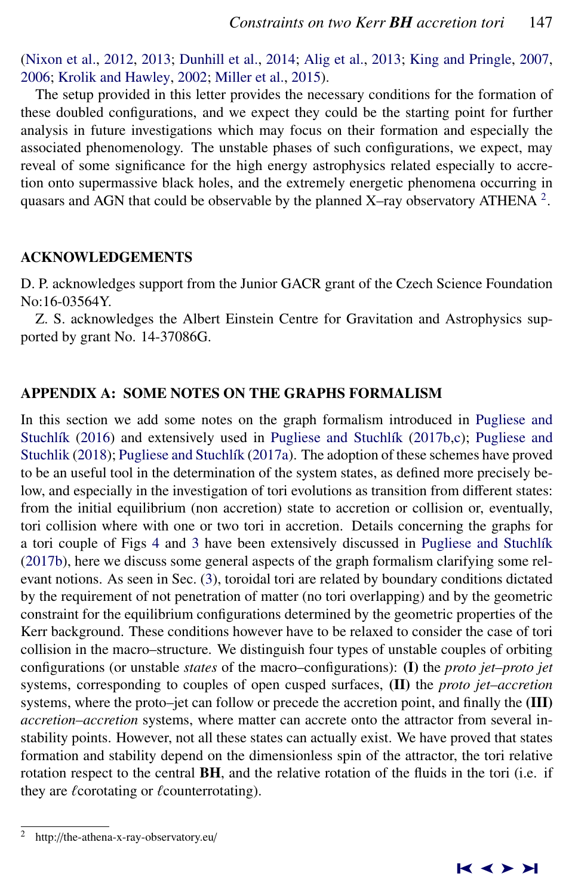<span id="page-10-0"></span>[\(Nixon et al.,](#page-15-0) [2012,](#page-15-0) [2013;](#page-15-0) [Dunhill et al.,](#page-14-0) [2014;](#page-14-0) [Alig et al.,](#page-14-0) [2013;](#page-14-0) [King and Pringle,](#page-14-0) [2007,](#page-14-0) [2006;](#page-14-0) [Krolik and Hawley,](#page-14-0) [2002;](#page-14-0) [Miller et al.,](#page-14-0) [2015\)](#page-14-0).

The setup provided in this letter provides the necessary conditions for the formation of these doubled configurations, and we expect they could be the starting point for further analysis in future investigations which may focus on their formation and especially the associated phenomenology. The unstable phases of such configurations, we expect, may reveal of some significance for the high energy astrophysics related especially to accretion onto supermassive black holes, and the extremely energetic phenomena occurring in quasars and AGN that could be observable by the planned X–ray observatory ATHENA  $^2$ .

#### ACKNOWLEDGEMENTS

D. P. acknowledges support from the Junior GACR grant of the Czech Science Foundation No:16-03564Y.

Z. S. acknowledges the Albert Einstein Centre for Gravitation and Astrophysics supported by grant No. 14-37086G.

# APPENDIX A: SOME NOTES ON THE GRAPHS FORMALISM

In this section we add some notes on the graph formalism introduced in [Pugliese and](#page-15-0) Stuchlík [\(2016\)](#page-15-0) and extensively used in Pugliese and Stuchlík [\(2017b,c\)](#page-15-0); [Pugliese and](#page-15-0) [Stuchlik](#page-15-0) [\(2018\)](#page-15-0); Pugliese and Stuchlík [\(2017a\)](#page-15-0). The adoption of these schemes have proved to be an useful tool in the determination of the system states, as defined more precisely below, and especially in the investigation of tori evolutions as transition from different states: from the initial equilibrium (non accretion) state to accretion or collision or, eventually, tori collision where with one or two tori in accretion. Details concerning the graphs for a tori couple of Figs [4](#page-7-0) and [3](#page-6-0) have been extensively discussed in Pugliese and Stuchlík [\(2017b\)](#page-15-0), here we discuss some general aspects of the graph formalism clarifying some relevant notions. As seen in Sec. [\(3\)](#page-3-0), toroidal tori are related by boundary conditions dictated by the requirement of not penetration of matter (no tori overlapping) and by the geometric constraint for the equilibrium configurations determined by the geometric properties of the Kerr background. These conditions however have to be relaxed to consider the case of tori collision in the macro–structure. We distinguish four types of unstable couples of orbiting configurations (or unstable *states* of the macro–configurations): (I) the *proto jet–proto jet* systems, corresponding to couples of open cusped surfaces, (II) the *proto jet–accretion* systems, where the proto–jet can follow or precede the accretion point, and finally the (III) *accretion–accretion* systems, where matter can accrete onto the attractor from several instability points. However, not all these states can actually exist. We have proved that states formation and stability depend on the dimensionless spin of the attractor, the tori relative rotation respect to the central BH, and the relative rotation of the fluids in the tori (i.e. if they are  $\ell$ corotating or  $\ell$ counterrotating).

http://the-athena-x-ray-observatory.eu/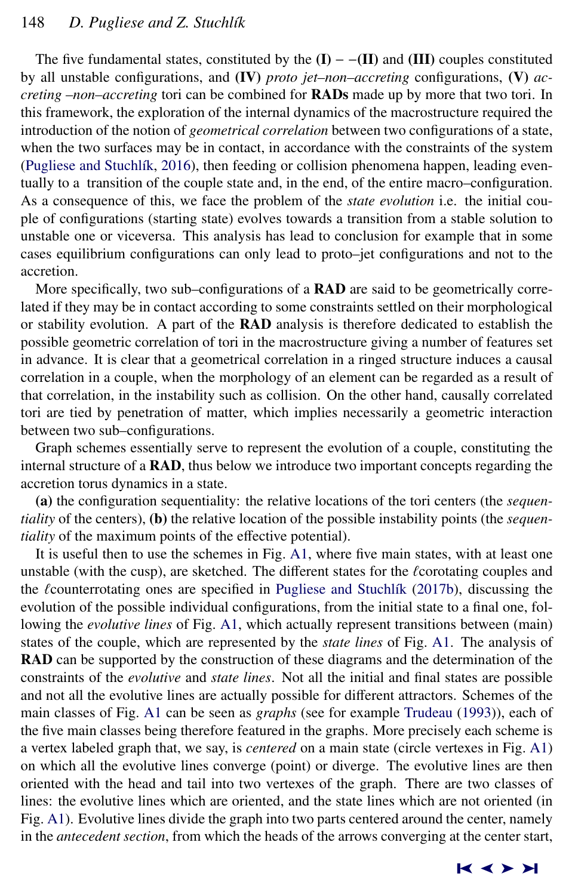# 148 *D. Pugliese and Z. Stuchl´ık*

The five fundamental states, constituted by the  $(I)$  –  $-I$ **II**) and  $(III)$  couples constituted by all unstable configurations, and (IV) *proto jet–non–accreting* configurations, (V) *accreting –non–accreting* tori can be combined for RADs made up by more that two tori. In this framework, the exploration of the internal dynamics of the macrostructure required the introduction of the notion of *geometrical correlation* between two configurations of a state, when the two surfaces may be in contact, in accordance with the constraints of the system (Pugliese and Stuchlík, [2016\)](#page-15-0), then feeding or collision phenomena happen, leading eventually to a transition of the couple state and, in the end, of the entire macro–configuration. As a consequence of this, we face the problem of the *state evolution* i.e. the initial couple of configurations (starting state) evolves towards a transition from a stable solution to unstable one or viceversa. This analysis has lead to conclusion for example that in some cases equilibrium configurations can only lead to proto–jet configurations and not to the accretion.

More specifically, two sub–configurations of a **RAD** are said to be geometrically correlated if they may be in contact according to some constraints settled on their morphological or stability evolution. A part of the **RAD** analysis is therefore dedicated to establish the possible geometric correlation of tori in the macrostructure giving a number of features set in advance. It is clear that a geometrical correlation in a ringed structure induces a causal correlation in a couple, when the morphology of an element can be regarded as a result of that correlation, in the instability such as collision. On the other hand, causally correlated tori are tied by penetration of matter, which implies necessarily a geometric interaction between two sub–configurations.

Graph schemes essentially serve to represent the evolution of a couple, constituting the internal structure of a RAD, thus below we introduce two important concepts regarding the accretion torus dynamics in a state.

(a) the configuration sequentiality: the relative locations of the tori centers (the *sequentiality* of the centers), (b) the relative location of the possible instability points (the *sequentiality* of the maximum points of the effective potential).

It is useful then to use the schemes in Fig. [A1,](#page-12-0) where five main states, with at least one unstable (with the cusp), are sketched. The different states for the  $\ell$ corotating couples and the  $\ell$ counterrotating ones are specified in Pugliese and Stuchl $\ell$ k [\(2017b\)](#page-15-0), discussing the evolution of the possible individual configurations, from the initial state to a final one, following the *evolutive lines* of Fig. [A1,](#page-12-0) which actually represent transitions between (main) states of the couple, which are represented by the *state lines* of Fig. [A1.](#page-12-0) The analysis of RAD can be supported by the construction of these diagrams and the determination of the constraints of the *evolutive* and *state lines*. Not all the initial and final states are possible and not all the evolutive lines are actually possible for different attractors. Schemes of the main classes of Fig. [A1](#page-12-0) can be seen as *graphs* (see for example [Trudeau](#page-15-0) [\(1993\)](#page-15-0)), each of the five main classes being therefore featured in the graphs. More precisely each scheme is a vertex labeled graph that, we say, is *centered* on a main state (circle vertexes in Fig. [A1\)](#page-12-0) on which all the evolutive lines converge (point) or diverge. The evolutive lines are then oriented with the head and tail into two vertexes of the graph. There are two classes of lines: the evolutive lines which are oriented, and the state lines which are not oriented (in Fig. [A1\)](#page-12-0). Evolutive lines divide the graph into two parts centered around the center, namely in the *antecedent section*, from which the heads of the arrows converging at the center start,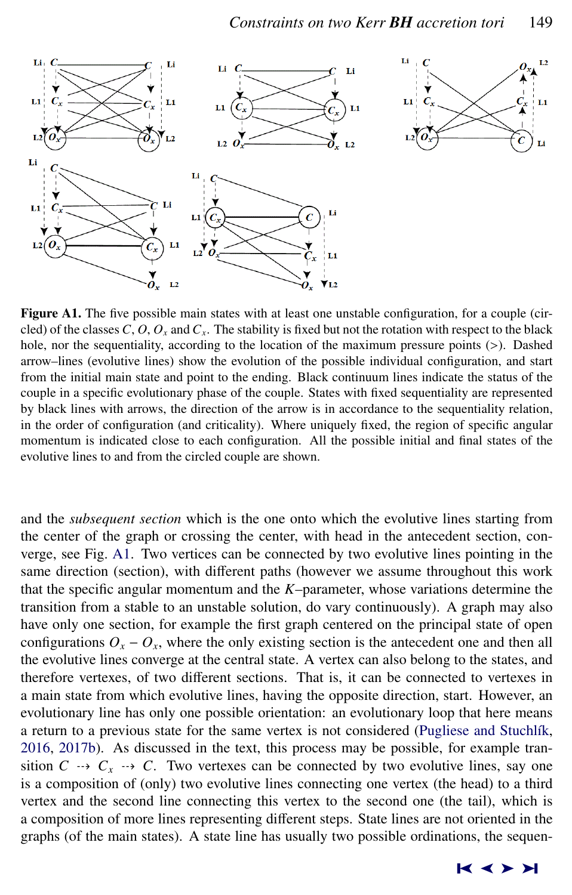<span id="page-12-0"></span>

Figure A1. The five possible main states with at least one unstable configuration, for a couple (circled) of the classes  $C$ ,  $O$ ,  $O_x$  and  $C_x$ . The stability is fixed but not the rotation with respect to the black hole, nor the sequentiality, according to the location of the maximum pressure points (>). Dashed arrow–lines (evolutive lines) show the evolution of the possible individual configuration, and start from the initial main state and point to the ending. Black continuum lines indicate the status of the couple in a specific evolutionary phase of the couple. States with fixed sequentiality are represented by black lines with arrows, the direction of the arrow is in accordance to the sequentiality relation, in the order of configuration (and criticality). Where uniquely fixed, the region of specific angular momentum is indicated close to each configuration. All the possible initial and final states of the evolutive lines to and from the circled couple are shown.

and the *subsequent section* which is the one onto which the evolutive lines starting from the center of the graph or crossing the center, with head in the antecedent section, converge, see Fig. A1. Two vertices can be connected by two evolutive lines pointing in the same direction (section), with different paths (however we assume throughout this work that the specific angular momentum and the *K*–parameter, whose variations determine the transition from a stable to an unstable solution, do vary continuously). A graph may also have only one section, for example the first graph centered on the principal state of open configurations  $O_x - O_x$ , where the only existing section is the antecedent one and then all the evolutive lines converge at the central state. A vertex can also belong to the states, and therefore vertexes, of two different sections. That is, it can be connected to vertexes in a main state from which evolutive lines, having the opposite direction, start. However, an evolutionary line has only one possible orientation: an evolutionary loop that here means a return to a previous state for the same vertex is not considered (Pugliese and Stuchlík, [2016,](#page-15-0) [2017b\)](#page-15-0). As discussed in the text, this process may be possible, for example transition  $C \rightarrow C_x \rightarrow C$ . Two vertexes can be connected by two evolutive lines, say one is a composition of (only) two evolutive lines connecting one vertex (the head) to a third vertex and the second line connecting this vertex to the second one (the tail), which is a composition of more lines representing different steps. State lines are not oriented in the graphs (of the main states). A state line has usually two possible ordinations, the sequen-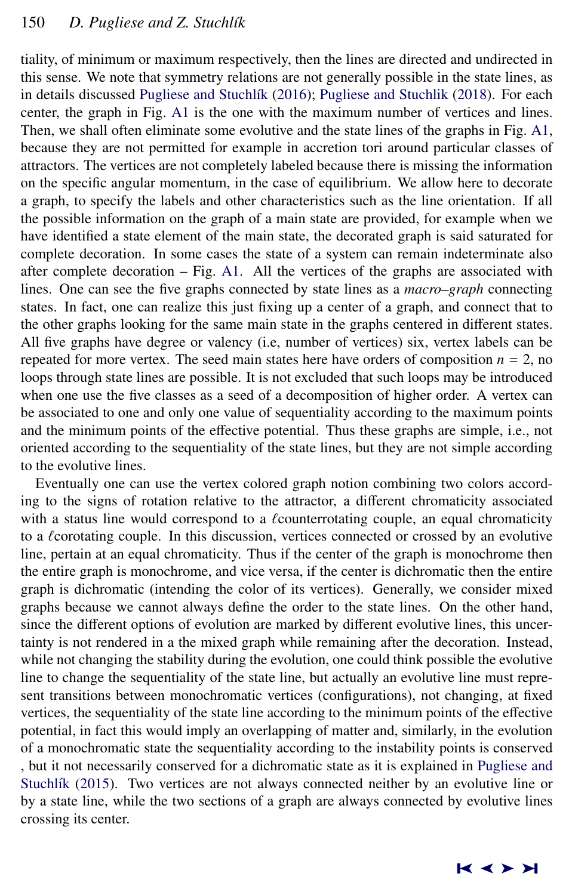tiality, of minimum or maximum respectively, then the lines are directed and undirected in this sense. We note that symmetry relations are not generally possible in the state lines, as in details discussed Pugliese and Stuchlík [\(2016\)](#page-15-0); [Pugliese and Stuchlik](#page-15-0) [\(2018\)](#page-15-0). For each center, the graph in Fig. [A1](#page-12-0) is the one with the maximum number of vertices and lines. Then, we shall often eliminate some evolutive and the state lines of the graphs in Fig. [A1,](#page-12-0) because they are not permitted for example in accretion tori around particular classes of attractors. The vertices are not completely labeled because there is missing the information on the specific angular momentum, in the case of equilibrium. We allow here to decorate a graph, to specify the labels and other characteristics such as the line orientation. If all the possible information on the graph of a main state are provided, for example when we have identified a state element of the main state, the decorated graph is said saturated for complete decoration. In some cases the state of a system can remain indeterminate also after complete decoration – Fig. [A1.](#page-12-0) All the vertices of the graphs are associated with lines. One can see the five graphs connected by state lines as a *macro–graph* connecting states. In fact, one can realize this just fixing up a center of a graph, and connect that to the other graphs looking for the same main state in the graphs centered in different states. All five graphs have degree or valency (i.e, number of vertices) six, vertex labels can be repeated for more vertex. The seed main states here have orders of composition  $n = 2$ , no loops through state lines are possible. It is not excluded that such loops may be introduced when one use the five classes as a seed of a decomposition of higher order. A vertex can be associated to one and only one value of sequentiality according to the maximum points and the minimum points of the effective potential. Thus these graphs are simple, i.e., not oriented according to the sequentiality of the state lines, but they are not simple according to the evolutive lines.

Eventually one can use the vertex colored graph notion combining two colors according to the signs of rotation relative to the attractor, a different chromaticity associated with a status line would correspond to a  $\ell$  counterrotating couple, an equal chromaticity to a  $\ell$  corotating couple. In this discussion, vertices connected or crossed by an evolutive line, pertain at an equal chromaticity. Thus if the center of the graph is monochrome then the entire graph is monochrome, and vice versa, if the center is dichromatic then the entire graph is dichromatic (intending the color of its vertices). Generally, we consider mixed graphs because we cannot always define the order to the state lines. On the other hand, since the different options of evolution are marked by different evolutive lines, this uncertainty is not rendered in a the mixed graph while remaining after the decoration. Instead, while not changing the stability during the evolution, one could think possible the evolutive line to change the sequentiality of the state line, but actually an evolutive line must represent transitions between monochromatic vertices (configurations), not changing, at fixed vertices, the sequentiality of the state line according to the minimum points of the effective potential, in fact this would imply an overlapping of matter and, similarly, in the evolution of a monochromatic state the sequentiality according to the instability points is conserved , but it not necessarily conserved for a dichromatic state as it is explained in [Pugliese and](#page-15-0) Stuchlík [\(2015\)](#page-15-0). Two vertices are not always connected neither by an evolutive line or by a state line, while the two sections of a graph are always connected by evolutive lines crossing its center.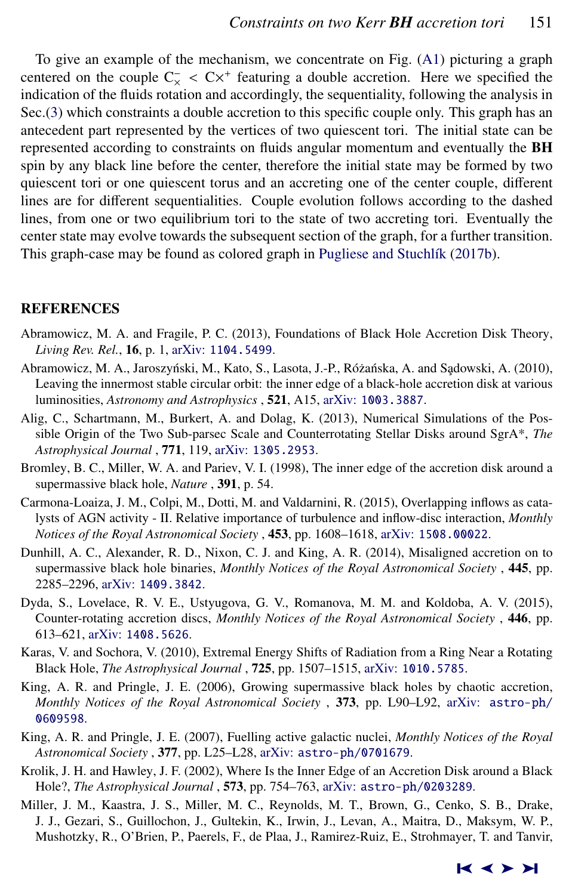<span id="page-14-0"></span>To give an example of the mechanism, we concentrate on Fig. [\(A1\)](#page-12-0) picturing a graph centered on the couple  $C_{\times} < C \times^+$  featuring a double accretion. Here we specified the indication of the fluids rotation and accordingly the sequentiality following the analysis in indication of the fluids rotation and accordingly, the sequentiality, following the analysis in Sec.[\(3\)](#page-3-0) which constraints a double accretion to this specific couple only. This graph has an antecedent part represented by the vertices of two quiescent tori. The initial state can be represented according to constraints on fluids angular momentum and eventually the **BH** spin by any black line before the center, therefore the initial state may be formed by two quiescent tori or one quiescent torus and an accreting one of the center couple, different lines are for different sequentialities. Couple evolution follows according to the dashed lines, from one or two equilibrium tori to the state of two accreting tori. Eventually the center state may evolve towards the subsequent section of the graph, for a further transition. This graph-case may be found as colored graph in Pugliese and Stuchlík [\(2017b\)](#page-15-0).

#### REFERENCES

- Abramowicz, M. A. and Fragile, P. C. (2013), Foundations of Black Hole Accretion Disk Theory, *Living Rev. Rel.*, 16, p. 1, arXiv: [1104.5499](http://www.arxiv.org/abs/1104.5499).
- Abramowicz, M. A., Jaroszyński, M., Kato, S., Lasota, J.-P., Różańska, A. and Sądowski, A. (2010), Leaving the innermost stable circular orbit: the inner edge of a black-hole accretion disk at various luminosities, *Astronomy and Astrophysics* , 521, A15, arXiv: [1003.3887](http://www.arxiv.org/abs/1003.3887).
- Alig, C., Schartmann, M., Burkert, A. and Dolag, K. (2013), Numerical Simulations of the Possible Origin of the Two Sub-parsec Scale and Counterrotating Stellar Disks around SgrA\*, *The Astrophysical Journal* , 771, 119, arXiv: [1305.2953](http://www.arxiv.org/abs/1305.2953).
- Bromley, B. C., Miller, W. A. and Pariev, V. I. (1998), The inner edge of the accretion disk around a supermassive black hole, *Nature* , 391, p. 54.
- Carmona-Loaiza, J. M., Colpi, M., Dotti, M. and Valdarnini, R. (2015), Overlapping inflows as catalysts of AGN activity - II. Relative importance of turbulence and inflow-disc interaction, *Monthly Notices of the Royal Astronomical Society* , 453, pp. 1608–1618, arXiv: [1508.00022](http://www.arxiv.org/abs/1508.00022).
- Dunhill, A. C., Alexander, R. D., Nixon, C. J. and King, A. R. (2014), Misaligned accretion on to supermassive black hole binaries, *Monthly Notices of the Royal Astronomical Society* , 445, pp. 2285–2296, arXiv: [1409.3842](http://www.arxiv.org/abs/1409.3842).
- Dyda, S., Lovelace, R. V. E., Ustyugova, G. V., Romanova, M. M. and Koldoba, A. V. (2015), Counter-rotating accretion discs, *Monthly Notices of the Royal Astronomical Society* , 446, pp. 613–621, arXiv: [1408.5626](http://www.arxiv.org/abs/1408.5626).
- Karas, V. and Sochora, V. (2010), Extremal Energy Shifts of Radiation from a Ring Near a Rotating Black Hole, *The Astrophysical Journal* , 725, pp. 1507–1515, arXiv: [1010.5785](http://www.arxiv.org/abs/1010.5785).
- King, A. R. and Pringle, J. E. (2006), Growing supermassive black holes by chaotic accretion, *Monthly Notices of the Royal Astronomical Society* , 373, pp. L90-L92, arXiv: [astro-ph/](http://www.arxiv.org/abs/astro-ph/0609598) [0609598](http://www.arxiv.org/abs/astro-ph/0609598).
- King, A. R. and Pringle, J. E. (2007), Fuelling active galactic nuclei, *Monthly Notices of the Royal Astronomical Society* , 377, pp. L25–L28, arXiv: [astro-ph/0701679](http://www.arxiv.org/abs/astro-ph/0701679).
- Krolik, J. H. and Hawley, J. F. (2002), Where Is the Inner Edge of an Accretion Disk around a Black Hole?, *The Astrophysical Journal* , 573, pp. 754–763, arXiv: [astro-ph/0203289](http://www.arxiv.org/abs/astro-ph/0203289).
- Miller, J. M., Kaastra, J. S., Miller, M. C., Reynolds, M. T., Brown, G., Cenko, S. B., Drake, J. J., Gezari, S., Guillochon, J., Gultekin, K., Irwin, J., Levan, A., Maitra, D., Maksym, W. P., Mushotzky, R., O'Brien, P., Paerels, F., de Plaa, J., Ramirez-Ruiz, E., Strohmayer, T. and Tanvir,